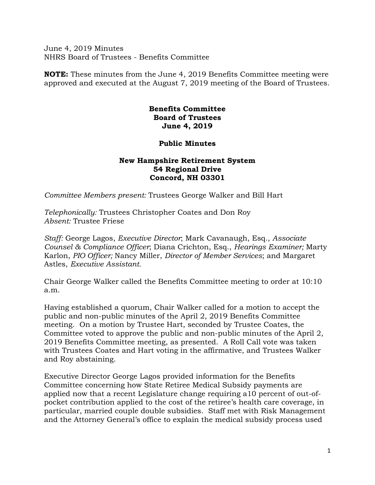June 4, 2019 Minutes NHRS Board of Trustees - Benefits Committee

**NOTE:** These minutes from the June 4, 2019 Benefits Committee meeting were approved and executed at the August 7, 2019 meeting of the Board of Trustees.

## **Benefits Committee Board of Trustees June 4, 2019**

## **Public Minutes**

## **New Hampshire Retirement System 54 Regional Drive Concord, NH 03301**

*Committee Members present:* Trustees George Walker and Bill Hart

*Telephonically:* Trustees Christopher Coates and Don Roy *Absent:* Trustee Friese

*Staff:* George Lagos, *Executive Director*; Mark Cavanaugh, Esq., *Associate Counsel & Compliance Officer*; Diana Crichton, Esq., *Hearings Examiner;* Marty Karlon, *PIO Officer;* Nancy Miller, *Director of Member Services*; and Margaret Astles, *Executive Assistant.* 

Chair George Walker called the Benefits Committee meeting to order at 10:10 a.m.

Having established a quorum, Chair Walker called for a motion to accept the public and non-public minutes of the April 2, 2019 Benefits Committee meeting. On a motion by Trustee Hart, seconded by Trustee Coates, the Committee voted to approve the public and non-public minutes of the April 2, 2019 Benefits Committee meeting, as presented. A Roll Call vote was taken with Trustees Coates and Hart voting in the affirmative, and Trustees Walker and Roy abstaining.

Executive Director George Lagos provided information for the Benefits Committee concerning how State Retiree Medical Subsidy payments are applied now that a recent Legislature change requiring a10 percent of out-ofpocket contribution applied to the cost of the retiree's health care coverage, in particular, married couple double subsidies. Staff met with Risk Management and the Attorney General's office to explain the medical subsidy process used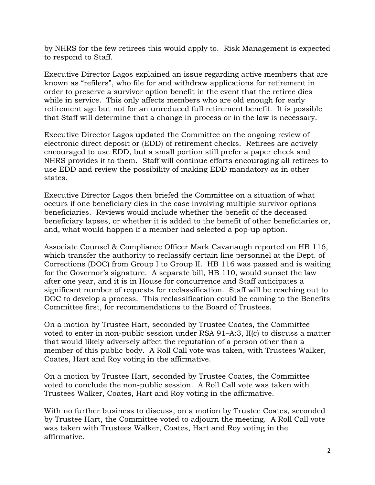by NHRS for the few retirees this would apply to. Risk Management is expected to respond to Staff.

Executive Director Lagos explained an issue regarding active members that are known as "refilers", who file for and withdraw applications for retirement in order to preserve a survivor option benefit in the event that the retiree dies while in service. This only affects members who are old enough for early retirement age but not for an unreduced full retirement benefit. It is possible that Staff will determine that a change in process or in the law is necessary.

Executive Director Lagos updated the Committee on the ongoing review of electronic direct deposit or (EDD) of retirement checks. Retirees are actively encouraged to use EDD, but a small portion still prefer a paper check and NHRS provides it to them. Staff will continue efforts encouraging all retirees to use EDD and review the possibility of making EDD mandatory as in other states.

Executive Director Lagos then briefed the Committee on a situation of what occurs if one beneficiary dies in the case involving multiple survivor options beneficiaries. Reviews would include whether the benefit of the deceased beneficiary lapses, or whether it is added to the benefit of other beneficiaries or, and, what would happen if a member had selected a pop-up option.

Associate Counsel & Compliance Officer Mark Cavanaugh reported on HB 116, which transfer the authority to reclassify certain line personnel at the Dept. of Corrections (DOC) from Group I to Group II. HB 116 was passed and is waiting for the Governor's signature. A separate bill, HB 110, would sunset the law after one year, and it is in House for concurrence and Staff anticipates a significant number of requests for reclassification. Staff will be reaching out to DOC to develop a process. This reclassification could be coming to the Benefits Committee first, for recommendations to the Board of Trustees.

On a motion by Trustee Hart, seconded by Trustee Coates, the Committee voted to enter in non-public session under RSA 91–A:3, II(c) to discuss a matter that would likely adversely affect the reputation of a person other than a member of this public body. A Roll Call vote was taken, with Trustees Walker, Coates, Hart and Roy voting in the affirmative.

On a motion by Trustee Hart, seconded by Trustee Coates, the Committee voted to conclude the non-public session. A Roll Call vote was taken with Trustees Walker, Coates, Hart and Roy voting in the affirmative.

With no further business to discuss, on a motion by Trustee Coates, seconded by Trustee Hart, the Committee voted to adjourn the meeting. A Roll Call vote was taken with Trustees Walker, Coates, Hart and Roy voting in the affirmative.